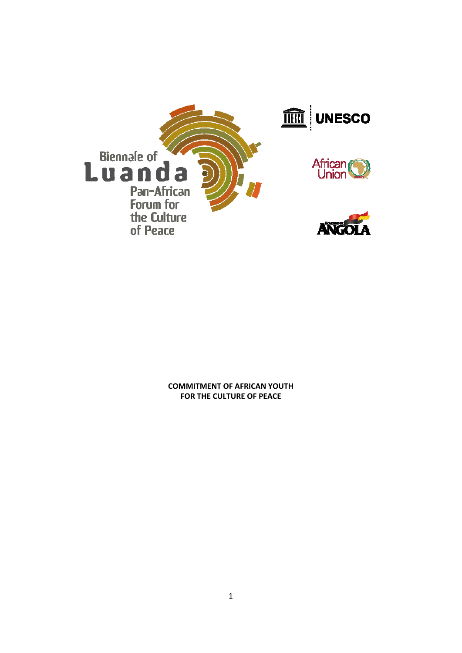

**COMMITMENT OF AFRICAN YOUTH FOR THE CULTURE OF PEACE**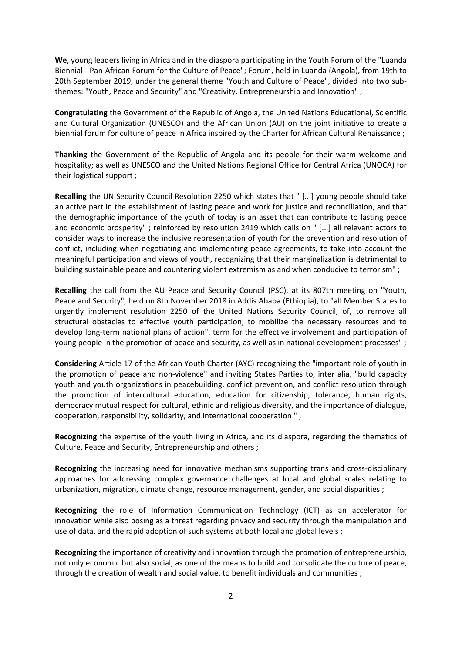**We**, young leaders living in Africa and in the diaspora participating in the Youth Forum of the "Luanda Biennial ‐ Pan‐African Forum for the Culture of Peace"; Forum, held in Luanda (Angola), from 19th to 20th September 2019, under the general theme "Youth and Culture of Peace", divided into two sub‐ themes: "Youth, Peace and Security" and "Creativity, Entrepreneurship and Innovation" ;

**Congratulating** the Government of the Republic of Angola, the United Nations Educational, Scientific and Cultural Organization (UNESCO) and the African Union (AU) on the joint initiative to create a biennial forum for culture of peace in Africa inspired by the Charter for African Cultural Renaissance ;

**Thanking** the Government of the Republic of Angola and its people for their warm welcome and hospitality; as well as UNESCO and the United Nations Regional Office for Central Africa (UNOCA) for their logistical support ;

**Recalling** the UN Security Council Resolution 2250 which states that " [...] young people should take an active part in the establishment of lasting peace and work for justice and reconciliation, and that the demographic importance of the youth of today is an asset that can contribute to lasting peace and economic prosperity" ; reinforced by resolution 2419 which calls on " [...] all relevant actors to consider ways to increase the inclusive representation of youth for the prevention and resolution of conflict, including when negotiating and implementing peace agreements, to take into account the meaningful participation and views of youth, recognizing that their marginalization is detrimental to building sustainable peace and countering violent extremism as and when conducive to terrorism" ;

**Recalling** the call from the AU Peace and Security Council (PSC), at its 807th meeting on "Youth, Peace and Security", held on 8th November 2018 in Addis Ababa (Ethiopia), to "all Member States to urgently implement resolution 2250 of the United Nations Security Council, of, to remove all structural obstacles to effective youth participation, to mobilize the necessary resources and to develop long‐term national plans of action". term for the effective involvement and participation of young people in the promotion of peace and security, as well as in national development processes" ;

**Considering** Article 17 of the African Youth Charter (AYC) recognizing the "important role of youth in the promotion of peace and non‐violence" and inviting States Parties to, inter alia, "build capacity youth and youth organizations in peacebuilding, conflict prevention, and conflict resolution through the promotion of intercultural education, education for citizenship, tolerance, human rights, democracy mutual respect for cultural, ethnic and religious diversity, and the importance of dialogue, cooperation, responsibility, solidarity, and international cooperation " ;

**Recognizing** the expertise of the youth living in Africa, and its diaspora, regarding the thematics of Culture, Peace and Security, Entrepreneurship and others ;

**Recognizing** the increasing need for innovative mechanisms supporting trans and cross-disciplinary approaches for addressing complex governance challenges at local and global scales relating to urbanization, migration, climate change, resource management, gender, and social disparities ;

**Recognizing** the role of Information Communication Technology (ICT) as an accelerator for innovation while also posing as a threat regarding privacy and security through the manipulation and use of data, and the rapid adoption of such systems at both local and global levels ;

**Recognizing** the importance of creativity and innovation through the promotion of entrepreneurship, not only economic but also social, as one of the means to build and consolidate the culture of peace, through the creation of wealth and social value, to benefit individuals and communities ;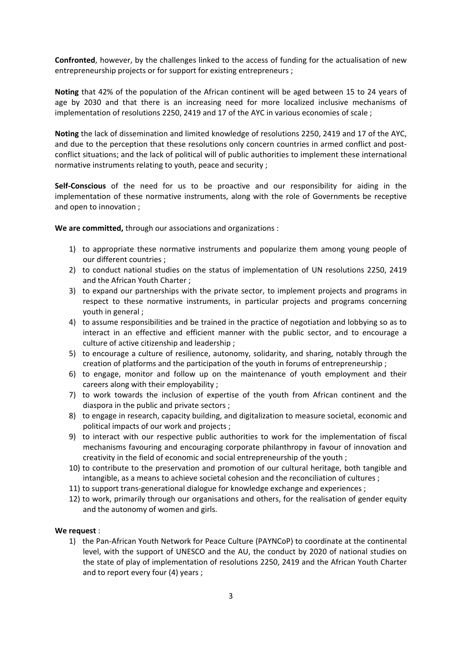**Confronted**, however, by the challenges linked to the access of funding for the actualisation of new entrepreneurship projects or for support for existing entrepreneurs ;

**Noting** that 42% of the population of the African continent will be aged between 15 to 24 years of age by 2030 and that there is an increasing need for more localized inclusive mechanisms of implementation of resolutions 2250, 2419 and 17 of the AYC in various economies of scale ;

**Noting** the lack of dissemination and limited knowledge of resolutions 2250, 2419 and 17 of the AYC, and due to the perception that these resolutions only concern countries in armed conflict and postconflict situations; and the lack of political will of public authorities to implement these international normative instruments relating to youth, peace and security ;

**Self-Conscious** of the need for us to be proactive and our responsibility for aiding in the implementation of these normative instruments, along with the role of Governments be receptive and open to innovation ;

**We are committed,** through our associations and organizations :

- 1) to appropriate these normative instruments and popularize them among young people of our different countries ;
- 2) to conduct national studies on the status of implementation of UN resolutions 2250, 2419 and the African Youth Charter ;
- 3) to expand our partnerships with the private sector, to implement projects and programs in respect to these normative instruments, in particular projects and programs concerning youth in general ;
- 4) to assume responsibilities and be trained in the practice of negotiation and lobbying so as to interact in an effective and efficient manner with the public sector, and to encourage a culture of active citizenship and leadership ;
- 5) to encourage a culture of resilience, autonomy, solidarity, and sharing, notably through the creation of platforms and the participation of the youth in forums of entrepreneurship ;
- 6) to engage, monitor and follow up on the maintenance of youth employment and their careers along with their employability ;
- 7) to work towards the inclusion of expertise of the youth from African continent and the diaspora in the public and private sectors ;
- 8) to engage in research, capacity building, and digitalization to measure societal, economic and political impacts of our work and projects ;
- 9) to interact with our respective public authorities to work for the implementation of fiscal mechanisms favouring and encouraging corporate philanthropy in favour of innovation and creativity in the field of economic and social entrepreneurship of the youth ;
- 10) to contribute to the preservation and promotion of our cultural heritage, both tangible and intangible, as a means to achieve societal cohesion and the reconciliation of cultures ;
- 11) to support trans-generational dialogue for knowledge exchange and experiences ;
- 12) to work, primarily through our organisations and others, for the realisation of gender equity and the autonomy of women and girls.

## **We request** :

1) the Pan-African Youth Network for Peace Culture (PAYNCoP) to coordinate at the continental level, with the support of UNESCO and the AU, the conduct by 2020 of national studies on the state of play of implementation of resolutions 2250, 2419 and the African Youth Charter and to report every four (4) years ;